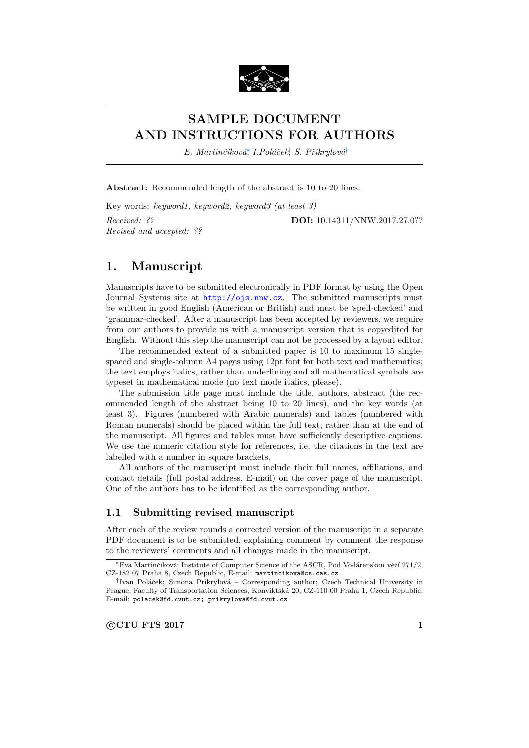

# SAMPLE DOCUMENT AND INSTRUCTIONS FOR AUTHORS

E. Martinčíková; I.Poláček, S. Přikrylová<sup>†</sup>

Abstract: Recommended length of the abstract is 10 to 20 lines.

Key words: keyword1, keyword2, keyword3 (at least 3) Received: ?? **DOI:** 10.14311/NNW.2017.27.0?? Revised and accepted: ??

# 1. Manuscript

Manuscripts have to be submitted electronically in PDF format by using the Open Journal Systems site at <http://ojs.nnw.cz>. The submitted manuscripts must be written in good English (American or British) and must be 'spell-checked' and 'grammar-checked'. After a manuscript has been accepted by reviewers, we require from our authors to provide us with a manuscript version that is copyedited for English. Without this step the manuscript can not be processed by a layout editor.

The recommended extent of a submitted paper is 10 to maximum 15 singlespaced and single-column A4 pages using 12pt font for both text and mathematics; the text employs italics, rather than underlining and all mathematical symbols are typeset in mathematical mode (no text mode italics, please).

The submission title page must include the title, authors, abstract (the recommended length of the abstract being 10 to 20 lines), and the key words (at least 3). Figures (numbered with Arabic numerals) and tables (numbered with Roman numerals) should be placed within the full text, rather than at the end of the manuscript. All figures and tables must have sufficiently descriptive captions. We use the numeric citation style for references, i.e. the citations in the text are labelled with a number in square brackets.

All authors of the manuscript must include their full names, affiliations, and contact details (full postal address, E-mail) on the cover page of the manuscript. One of the authors has to be identified as the corresponding author.

## 1.1 Submitting revised manuscript

After each of the review rounds a corrected version of the manuscript in a separate PDF document is to be submitted, explaining comment by comment the response to the reviewers' comments and all changes made in the manuscript.

<sup>\*</sup>Eva Martinčíková; Institute of Computer Science of the ASCR, Pod Vodárenskou věží 271/2, CZ-182 07 Praha 8, Czech Republic, E-mail: martincikova@cs.cas.cz

<sup>&</sup>lt;sup>†</sup>Ivan Poláček; Simona Přikrylová – Corresponding author; Czech Technical University in Prague, Faculty of Transportation Sciences, Konviktská 20, CZ-110 00 Praha 1, Czech Republic, E-mail: polacek@fd.cvut.cz; prikrylova@fd.cvut.cz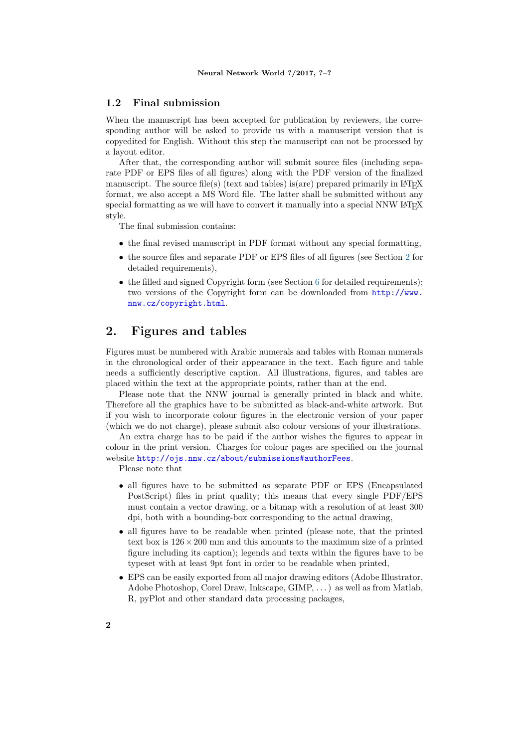## 1.2 Final submission

When the manuscript has been accepted for publication by reviewers, the corresponding author will be asked to provide us with a manuscript version that is copyedited for English. Without this step the manuscript can not be processed by a layout editor.

After that, the corresponding author will submit source files (including separate PDF or EPS files of all figures) along with the PDF version of the finalized manuscript. The source file(s) (text and tables) is(are) prepared primarily in  $\text{LATEX}$ format, we also accept a MS Word file. The latter shall be submitted without any special formatting as we will have to convert it manually into a special NNW LAT<sub>EX</sub> style.

The final submission contains:

- the final revised manuscript in PDF format without any special formatting,
- the source files and separate PDF or EPS files of all figures (see Section [2](#page-1-0) for detailed requirements),
- the filled and signed Copyright form (see Section [6](#page-8-0) for detailed requirements); two versions of the Copyright form can be downloaded from [http://www.](http://www.nnw.cz/copyright.html) [nnw.cz/copyright.html](http://www.nnw.cz/copyright.html).

# <span id="page-1-0"></span>2. Figures and tables

Figures must be numbered with Arabic numerals and tables with Roman numerals in the chronological order of their appearance in the text. Each figure and table needs a sufficiently descriptive caption. All illustrations, figures, and tables are placed within the text at the appropriate points, rather than at the end.

Please note that the NNW journal is generally printed in black and white. Therefore all the graphics have to be submitted as black-and-white artwork. But if you wish to incorporate colour figures in the electronic version of your paper (which we do not charge), please submit also colour versions of your illustrations.

An extra charge has to be paid if the author wishes the figures to appear in colour in the print version. Charges for colour pages are specified on the journal website <http://ojs.nnw.cz/about/submissions#authorFees>.

Please note that

- all figures have to be submitted as separate PDF or EPS (Encapsulated PostScript) files in print quality; this means that every single PDF/EPS must contain a vector drawing, or a bitmap with a resolution of at least 300 dpi, both with a bounding-box corresponding to the actual drawing,
- all figures have to be readable when printed (please note, that the printed text box is  $126 \times 200$  mm and this amounts to the maximum size of a printed figure including its caption); legends and texts within the figures have to be typeset with at least 9pt font in order to be readable when printed,
- EPS can be easily exported from all major drawing editors (Adobe Illustrator, Adobe Photoshop, Corel Draw, Inkscape, GIMP, . . . ) as well as from Matlab, R, pyPlot and other standard data processing packages,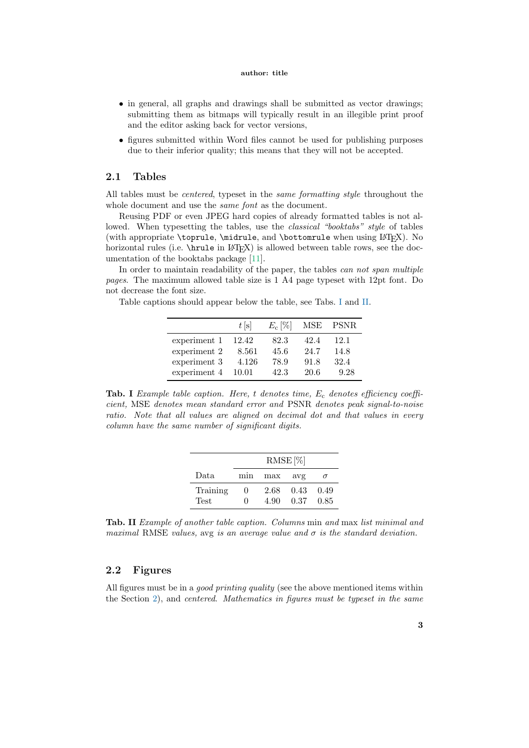### author: title

- in general, all graphs and drawings shall be submitted as vector drawings; submitting them as bitmaps will typically result in an illegible print proof and the editor asking back for vector versions,
- figures submitted within Word files cannot be used for publishing purposes due to their inferior quality; this means that they will not be accepted.

## 2.1 Tables

All tables must be centered, typeset in the same formatting style throughout the whole document and use the *same font* as the document.

Reusing PDF or even JPEG hard copies of already formatted tables is not allowed. When typesetting the tables, use the *classical* "booktabs" style of tables (with appropriate \toprule, \midrule, and \bottomrule when using LATEX). No horizontal rules (i.e. \hrule in LAT<sub>EX</sub>) is allowed between table rows, see the documentation of the booktabs package [\[11\]](#page-9-0).

In order to maintain readability of the paper, the tables can not span multiple pages. The maximum allowed table size is 1 A4 page typeset with 12pt font. Do not decrease the font size.

Table captions should appear below the table, see Tabs. [I](#page-2-0) and [II.](#page-2-1)

|              | t s   | $E_c$  % | MSE  | PSNR |
|--------------|-------|----------|------|------|
| experiment 1 | 12.42 | 82.3     | 42.4 | 12.1 |
| experiment 2 | 8.561 | 45.6     | 24.7 | 14.8 |
| experiment 3 | 4.126 | 78.9     | 91.8 | 32.4 |
| experiment 4 | 10.01 | 42.3     | 20.6 | 9.28 |

<span id="page-2-0"></span>Tab. I Example table caption. Here, t denotes time,  $E_c$  denotes efficiency coefficient, MSE denotes mean standard error and PSNR denotes peak signal-to-noise ratio. Note that all values are aligned on decimal dot and that values in every column have the same number of significant digits.

|                         | $RMSE [\%]$              |              |              |              |  |  |
|-------------------------|--------------------------|--------------|--------------|--------------|--|--|
| Data                    | mın                      | max          | avg          |              |  |  |
| Training<br><b>Test</b> | $^{(1)}$<br>$\mathbf{0}$ | 2.68<br>4.90 | 0.43<br>0.37 | 0.49<br>0.85 |  |  |

<span id="page-2-1"></span>Tab. II Example of another table caption. Columns min and max list minimal and maximal RMSE values, avg is an average value and  $\sigma$  is the standard deviation.

## 2.2 Figures

All figures must be in a *good printing quality* (see the above mentioned items within the Section [2\)](#page-1-0), and centered. Mathematics in figures must be typeset in the same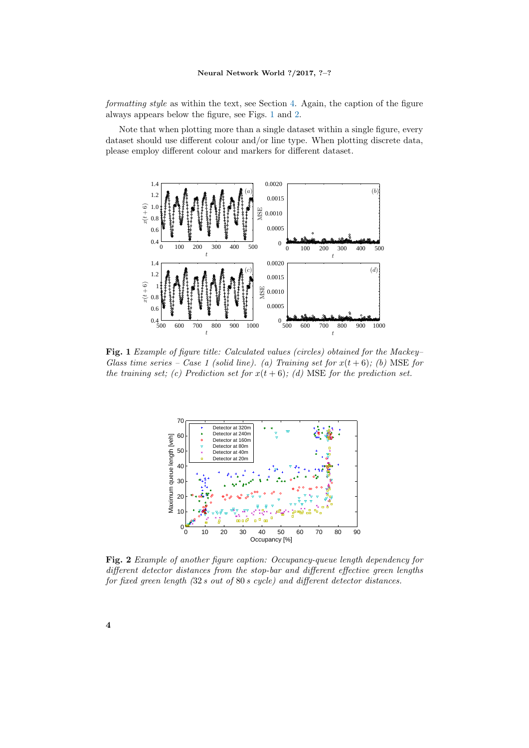### Neural Network World ?/2017, ?–?

formatting style as within the text, see Section [4.](#page-4-0) Again, the caption of the figure always appears below the figure, see Figs. [1](#page-3-0) and [2.](#page-3-1)

Note that when plotting more than a single dataset within a single figure, every dataset should use different colour and/or line type. When plotting discrete data, please employ different colour and markers for different dataset.



<span id="page-3-0"></span>Fig. 1 Example of figure title: Calculated values (circles) obtained for the Mackey– Glass time series – Case 1 (solid line). (a) Training set for  $x(t+6)$ ; (b) MSE for the training set; (c) Prediction set for  $x(t+6)$ ; (d) MSE for the prediction set.



<span id="page-3-1"></span>Fig. 2 Example of another figure caption: Occupancy-queue length dependency for different detector distances from the stop-bar and different effective green lengths for fixed green length (32 s out of 80 s cycle) and different detector distances.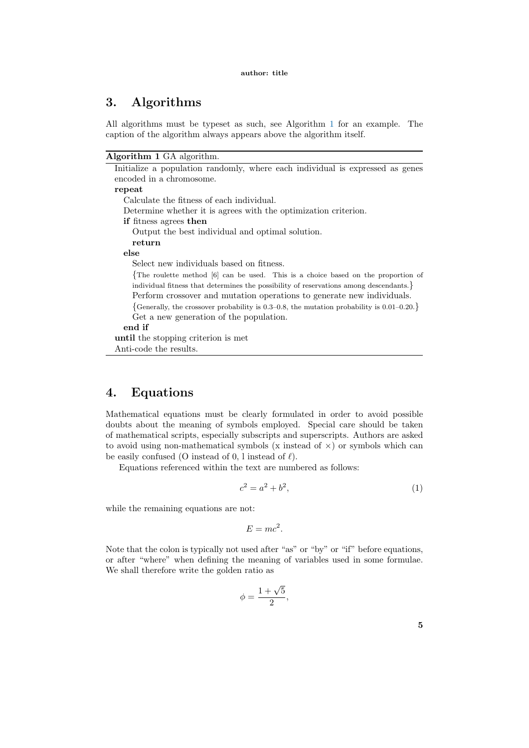# 3. Algorithms

All algorithms must be typeset as such, see Algorithm [1](#page-4-1) for an example. The caption of the algorithm always appears above the algorithm itself.

<span id="page-4-1"></span>Algorithm 1 GA algorithm.

| Initialize a population randomly, where each individual is expressed as genes             |
|-------------------------------------------------------------------------------------------|
| encoded in a chromosome.                                                                  |
| repeat                                                                                    |
| Calculate the fitness of each individual.                                                 |
| Determine whether it is agrees with the optimization criterion.                           |
| <b>if</b> fitness agrees then                                                             |
| Output the best individual and optimal solution.                                          |
| return                                                                                    |
| else                                                                                      |
| Select new individuals based on fitness.                                                  |
| $\{$ The roulette method $[6]$ can be used. This is a choice based on the proportion of   |
| individual fitness that determines the possibility of reservations among descendants.     |
| Perform crossover and mutation operations to generate new individuals.                    |
| {Generally, the crossover probability is 0.3–0.8, the mutation probability is 0.01–0.20.} |
| Get a new generation of the population.                                                   |
| end if                                                                                    |
| until the stopping criterion is met                                                       |
| Anti-code the results.                                                                    |

# <span id="page-4-0"></span>4. Equations

Mathematical equations must be clearly formulated in order to avoid possible doubts about the meaning of symbols employed. Special care should be taken of mathematical scripts, especially subscripts and superscripts. Authors are asked to avoid using non-mathematical symbols (x instead of  $\times$ ) or symbols which can be easily confused (O instead of  $0, 1$  instead of  $\ell$ ).

Equations referenced within the text are numbered as follows:

<span id="page-4-2"></span>
$$
c^2 = a^2 + b^2,\t\t(1)
$$

while the remaining equations are not:

$$
E = mc^2.
$$

Note that the colon is typically not used after "as" or "by" or "if" before equations, or after "where" when defining the meaning of variables used in some formulae. We shall therefore write the golden ratio as

$$
\phi = \frac{1 + \sqrt{5}}{2},
$$

|   |   |   |   | ł |
|---|---|---|---|---|
|   | ۰ |   | I |   |
|   |   |   |   |   |
| × |   | v | I | ï |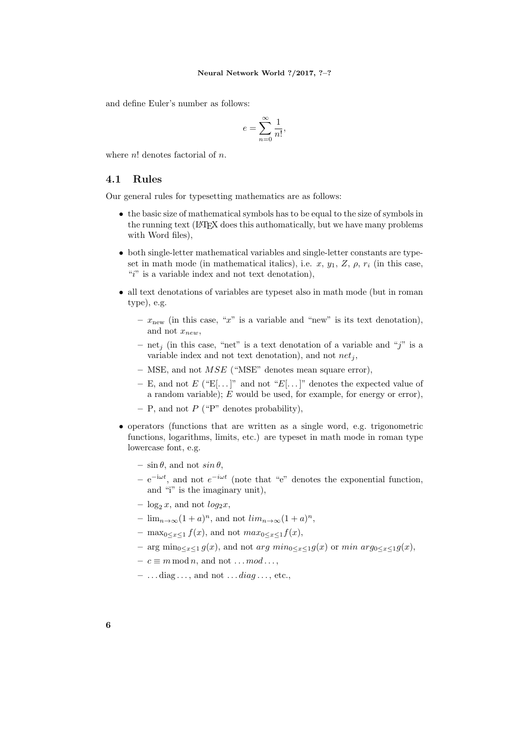and define Euler's number as follows:

$$
e = \sum_{n=0}^{\infty} \frac{1}{n!},
$$

where  $n!$  denotes factorial of  $n$ .

## 4.1 Rules

Our general rules for typesetting mathematics are as follows:

- the basic size of mathematical symbols has to be equal to the size of symbols in the running text (LAT<sub>E</sub>X does this authomatically, but we have many problems with Word files),
- both single-letter mathematical variables and single-letter constants are typeset in math mode (in mathematical italics), i.e.  $x, y_1, Z, \rho, r_i$  (in this case, " $i$ " is a variable index and not text denotation),
- all text denotations of variables are typeset also in math mode (but in roman type), e.g.
	- $x_{\text{new}}$  (in this case, "x" is a variable and "new" is its text denotation), and not  $x_{new}$ ,
	- net<sub>i</sub> (in this case, "net" is a text denotation of a variable and "j" is a variable index and not text denotation), and not  $net_i$ ,
	- MSE, and not  $MSE$  ("MSE" denotes mean square error),
	- E, and not E ("E[...]" and not "E[...]" denotes the expected value of a random variable);  $E$  would be used, for example, for energy or error),
	- $P$ , and not P ("P" denotes probability),
- operators (functions that are written as a single word, e.g. trigonometric functions, logarithms, limits, etc.) are typeset in math mode in roman type lowercase font, e.g.
	- $\sin \theta$ , and not  $\sin \theta$ ,
	- $e^{-i\omega t}$ , and not  $e^{-i\omega t}$  (note that "e" denotes the exponential function, and "i" is the imaginary unit),
	- $-\log_2 x$ , and not  $\log_2 x$ ,
	- $\lim_{n \to \infty} (1+a)^n$ , and not  $\lim_{n \to \infty} (1+a)^n$ ,
	- max<sub>0</sub> $\lt x \lt 1$   $f(x)$ , and not  $max_{0 \lt x \lt 1} f(x)$ ,
	- arg min<sub>0≤x≤1</sub> g(x), and not arg min<sub>0≤x≤1</sub>g(x) or min arg<sub>0≤x≤1</sub>g(x),
	- $c \equiv m \mod n$ , and not ...  $mod \dots$
	- $\ldots diag \ldots$ , and not  $\ldots diag \ldots$ , etc.,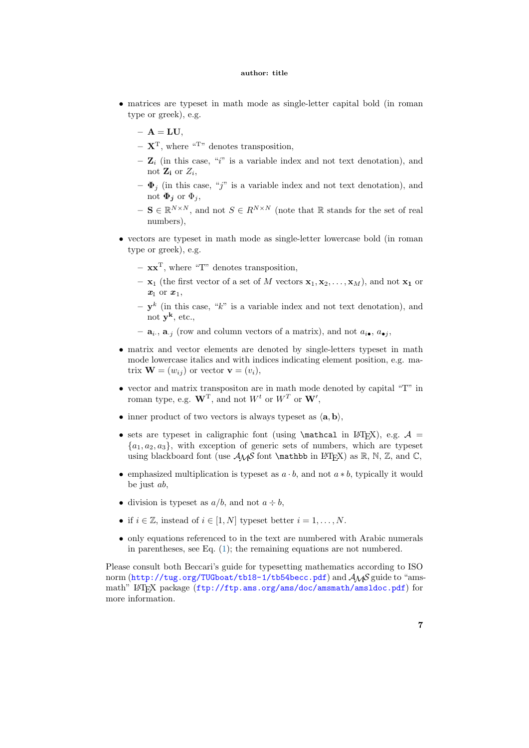### author: title

- matrices are typeset in math mode as single-letter capital bold (in roman type or greek), e.g.
	- $A = LU$ ,
	- $-\mathbf{X}^{\mathrm{T}}$ , where "T" denotes transposition,
	- $-$  **Z**<sub>i</sub> (in this case, "i" is a variable index and not text denotation), and not  $\mathbf{Z_i}$  or  $Z_i$ ,
	- $-\Phi_j$  (in this case, "j" is a variable index and not text denotation), and not  $\Phi_i$  or  $\Phi_i$ ,
	- $-$  S  $\in \mathbb{R}^{N \times N}$ , and not  $S \in R^{N \times N}$  (note that R stands for the set of real numbers),
- vectors are typeset in math mode as single-letter lowercase bold (in roman type or greek), e.g.
	- $\mathbf{xx}^T$ , where "T" denotes transposition,
	- $-$  x<sub>1</sub> (the first vector of a set of M vectors  $x_1, x_2, \ldots, x_M$ ), and not  $x_1$  or  $x_1$  or  $x_1$ ,
	- $-\mathbf{y}^k$  (in this case, "k" is a variable index and not text denotation), and not  $\mathbf{y}^{\mathbf{k}}$ , etc.,
	- $-$  **a**<sub>i</sub>., **a**<sub>j</sub> (row and column vectors of a matrix), and not  $a_{i\bullet}, a_{\bullet j}$ ,
- matrix and vector elements are denoted by single-letters typeset in math mode lowercase italics and with indices indicating element position, e.g. matrix  $\mathbf{W} = (w_{ij})$  or vector  $\mathbf{v} = (v_i)$ ,
- vector and matrix transpositon are in math mode denoted by capital "T" in roman type, e.g.  $\mathbf{W}^{\mathrm{T}}$ , and not  $W^t$  or  $W^T$  or  $\mathbf{W}'$ ,
- inner product of two vectors is always typeset as  $\langle \mathbf{a}, \mathbf{b} \rangle$ ,
- sets are typeset in caligraphic font (using \mathcal in LATEX), e.g.  $A =$  ${a_1, a_2, a_3}$ , with exception of generic sets of numbers, which are typeset using blackboard font (use  $A\mathcal{M}S$  font **\mathbb** in LATEX) as  $\mathbb{R}$ , N, Z, and C,
- emphasized multiplication is typeset as  $a \cdot b$ , and not  $a * b$ , typically it would be just ab,
- division is typeset as  $a/b$ , and not  $a \div b$ ,
- if  $i \in \mathbb{Z}$ , instead of  $i \in [1, N]$  typeset better  $i = 1, \ldots, N$ .
- only equations referenced to in the text are numbered with Arabic numerals in parentheses, see Eq. [\(1\)](#page-4-2); the remaining equations are not numbered.

Please consult both Beccari's guide for typesetting mathematics according to ISO norm (<http://tug.org/TUGboat/tb18-1/tb54becc.pdf>) and  $A_{\mathcal{M}}S$  guide to "amsmath" LAT<sub>EX</sub> package (<ftp://ftp.ams.org/ams/doc/amsmath/amsldoc.pdf>) for more information.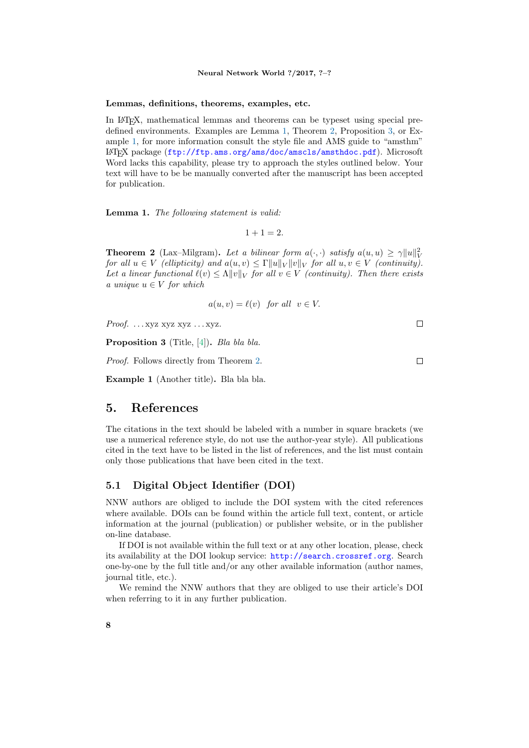### Neural Network World ?/2017, ?–?

### Lemmas, definitions, theorems, examples, etc.

In LATEX, mathematical lemmas and theorems can be typeset using special predefined environments. Examples are Lemma [1,](#page-7-0) Theorem [2,](#page-7-1) Proposition [3,](#page-7-2) or Example [1,](#page-7-3) for more information consult the style file and AMS guide to "amsthm" L<sup>A</sup>TEX package (<ftp://ftp.ams.org/ams/doc/amscls/amsthdoc.pdf>). Microsoft Word lacks this capability, please try to approach the styles outlined below. Your text will have to be be manually converted after the manuscript has been accepted for publication.

<span id="page-7-0"></span>Lemma 1. The following statement is valid:

 $1 + 1 = 2.$ 

<span id="page-7-1"></span>**Theorem 2** (Lax–Milgram). Let a bilinear form  $a(\cdot, \cdot)$  satisfy  $a(u, u) \geq \gamma ||u||_V^2$ for all  $u \in V$  (ellipticity) and  $a(u, v) \leq \Gamma ||u||_V ||v||_V$  for all  $u, v \in V$  (continuity). Let a linear functional  $\ell(v) \leq \Lambda \|v\|_V$  for all  $v \in V$  (continuity). Then there exists a unique  $u \in V$  for which

$$
a(u, v) = \ell(v) \text{ for all } v \in V.
$$

Proof. ... xyz xyz xyz ... xyz.

<span id="page-7-2"></span>Proposition 3 (Title, [\[4\]](#page-9-1)). Bla bla bla.

Proof. Follows directly from Theorem [2.](#page-7-1)

<span id="page-7-3"></span>Example 1 (Another title). Bla bla bla.

## 5. References

The citations in the text should be labeled with a number in square brackets (we use a numerical reference style, do not use the author-year style). All publications cited in the text have to be listed in the list of references, and the list must contain only those publications that have been cited in the text.

## 5.1 Digital Object Identifier (DOI)

NNW authors are obliged to include the DOI system with the cited references where available. DOIs can be found within the article full text, content, or article information at the journal (publication) or publisher website, or in the publisher on-line database.

If DOI is not available within the full text or at any other location, please, check its availability at the DOI lookup service: <http://search.crossref.org>. Search one-by-one by the full title and/or any other available information (author names, journal title, etc.).

We remind the NNW authors that they are obliged to use their article's DOI when referring to it in any further publication.

 $\Box$ 

 $\Box$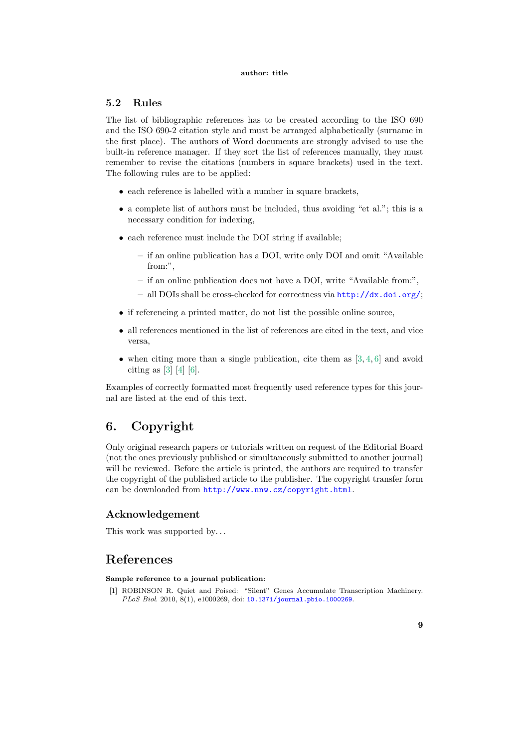### author: title

## 5.2 Rules

The list of bibliographic references has to be created according to the ISO 690 and the ISO 690-2 citation style and must be arranged alphabetically (surname in the first place). The authors of Word documents are strongly advised to use the built-in reference manager. If they sort the list of references manually, they must remember to revise the citations (numbers in square brackets) used in the text. The following rules are to be applied:

- each reference is labelled with a number in square brackets,
- a complete list of authors must be included, thus avoiding "et al."; this is a necessary condition for indexing,
- each reference must include the DOI string if available;
	- if an online publication has a DOI, write only DOI and omit "Available from:".
	- if an online publication does not have a DOI, write "Available from:",
	- all DOIs shall be cross-checked for correctness via <http://dx.doi.org/>;
- if referencing a printed matter, do not list the possible online source,
- all references mentioned in the list of references are cited in the text, and vice versa,
- when citing more than a single publication, cite them as  $[3, 4, 6]$  $[3, 4, 6]$  $[3, 4, 6]$  $[3, 4, 6]$  and avoid citing as [\[3\]](#page-9-2) [\[4\]](#page-9-1) [\[6\]](#page-9-3).

Examples of correctly formatted most frequently used reference types for this journal are listed at the end of this text.

# <span id="page-8-0"></span>6. Copyright

Only original research papers or tutorials written on request of the Editorial Board (not the ones previously published or simultaneously submitted to another journal) will be reviewed. Before the article is printed, the authors are required to transfer the copyright of the published article to the publisher. The copyright transfer form can be downloaded from <http://www.nnw.cz/copyright.html>.

## Acknowledgement

This work was supported by...

# References

## Sample reference to a journal publication:

[1] ROBINSON R. Quiet and Poised: "Silent" Genes Accumulate Transcription Machinery. PLoS Biol. 2010, 8(1), e1000269, doi: [10.1371/journal.pbio.1000269](http://dx.doi.org/10.1371/journal.pbio.1000269).